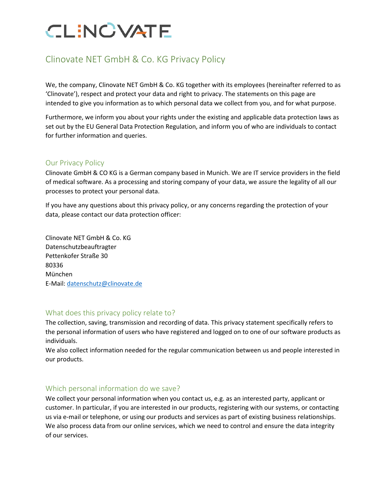### Clinovate NET GmbH & Co. KG Privacy Policy

We, the company, Clinovate NET GmbH & Co. KG together with its employees (hereinafter referred to as 'Clinovate'), respect and protect your data and right to privacy. The statements on this page are intended to give you information as to which personal data we collect from you, and for what purpose.

Furthermore, we inform you about your rights under the existing and applicable data protection laws as set out by the EU General Data Protection Regulation, and inform you of who are individuals to contact for further information and queries.

### Our Privacy Policy

Clinovate GmbH & CO KG is a German company based in Munich. We are IT service providers in the field of medical software. As a processing and storing company of your data, we assure the legality of all our processes to protect your personal data.

If you have any questions about this privacy policy, or any concerns regarding the protection of your data, please contact our data protection officer:

Clinovate NET GmbH & Co. KG Datenschutzbeauftragter Pettenkofer Straße 30 80336 München E-Mail: [datenschutz@clinovate.de](mailto:datenschutz@clinovate.de)

### What does this privacy policy relate to?

The collection, saving, transmission and recording of data. This privacy statement specifically refers to the personal information of users who have registered and logged on to one of our software products as individuals.

We also collect information needed for the regular communication between us and people interested in our products.

### Which personal information do we save?

We collect your personal information when you contact us, e.g. as an interested party, applicant or customer. In particular, if you are interested in our products, registering with our systems, or contacting us via e-mail or telephone, or using our products and services as part of existing business relationships. We also process data from our online services, which we need to control and ensure the data integrity of our services.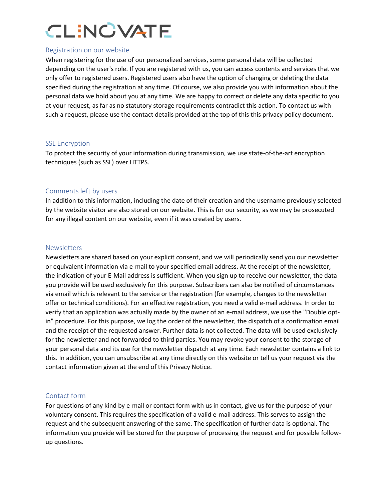### Registration on our website

When registering for the use of our personalized services, some personal data will be collected depending on the user's role. If you are registered with us, you can access contents and services that we only offer to registered users. Registered users also have the option of changing or deleting the data specified during the registration at any time. Of course, we also provide you with information about the personal data we hold about you at any time. We are happy to correct or delete any data specific to you at your request, as far as no statutory storage requirements contradict this action. To contact us with such a request, please use the contact details provided at the top of this this privacy policy document.

### SSL Encryption

To protect the security of your information during transmission, we use state-of-the-art encryption techniques (such as SSL) over HTTPS.

### Comments left by users

In addition to this information, including the date of their creation and the username previously selected by the website visitor are also stored on our website. This is for our security, as we may be prosecuted for any illegal content on our website, even if it was created by users.

### **Newsletters**

Newsletters are shared based on your explicit consent, and we will periodically send you our newsletter or equivalent information via e-mail to your specified email address. At the receipt of the newsletter, the indication of your E-Mail address is sufficient. When you sign up to receive our newsletter, the data you provide will be used exclusively for this purpose. Subscribers can also be notified of circumstances via email which is relevant to the service or the registration (for example, changes to the newsletter offer or technical conditions). For an effective registration, you need a valid e-mail address. In order to verify that an application was actually made by the owner of an e-mail address, we use the "Double optin" procedure. For this purpose, we log the order of the newsletter, the dispatch of a confirmation email and the receipt of the requested answer. Further data is not collected. The data will be used exclusively for the newsletter and not forwarded to third parties. You may revoke your consent to the storage of your personal data and its use for the newsletter dispatch at any time. Each newsletter contains a link to this. In addition, you can unsubscribe at any time directly on this website or tell us your request via the contact information given at the end of this Privacy Notice.

### Contact form

For questions of any kind by e-mail or contact form with us in contact, give us for the purpose of your voluntary consent. This requires the specification of a valid e-mail address. This serves to assign the request and the subsequent answering of the same. The specification of further data is optional. The information you provide will be stored for the purpose of processing the request and for possible followup questions.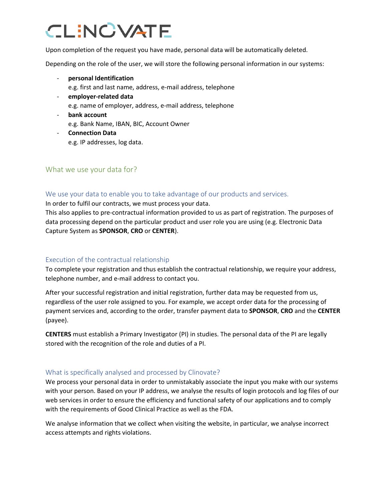Upon completion of the request you have made, personal data will be automatically deleted.

Depending on the role of the user, we will store the following personal information in our systems:

- **personal Identification**
	- e.g. first and last name, address, e-mail address, telephone
- **employer-related data** e.g. name of employer, address, e-mail address, telephone
- **bank account** e.g. Bank Name, IBAN, BIC, Account Owner
- **Connection Data** e.g. IP addresses, log data.

### What we use your data for?

### We use your data to enable you to take advantage of our products and services.

In order to fulfil our contracts, we must process your data.

This also applies to pre-contractual information provided to us as part of registration. The purposes of data processing depend on the particular product and user role you are using (e.g. Electronic Data Capture System as **SPONSOR**, **CRO** or **CENTER**).

### Execution of the contractual relationship

To complete your registration and thus establish the contractual relationship, we require your address, telephone number, and e-mail address to contact you.

After your successful registration and initial registration, further data may be requested from us, regardless of the user role assigned to you. For example, we accept order data for the processing of payment services and, according to the order, transfer payment data to **SPONSOR**, **CRO** and the **CENTER**  (payee).

**CENTERS** must establish a Primary Investigator (PI) in studies. The personal data of the PI are legally stored with the recognition of the role and duties of a PI.

### What is specifically analysed and processed by Clinovate?

We process your personal data in order to unmistakably associate the input you make with our systems with your person. Based on your IP address, we analyse the results of login protocols and log files of our web services in order to ensure the efficiency and functional safety of our applications and to comply with the requirements of Good Clinical Practice as well as the FDA.

We analyse information that we collect when visiting the website, in particular, we analyse incorrect access attempts and rights violations.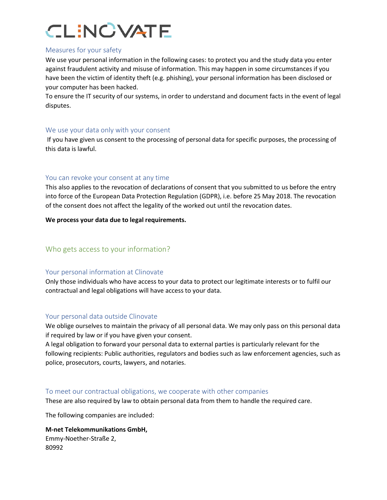### Measures for your safety

We use your personal information in the following cases: to protect you and the study data you enter against fraudulent activity and misuse of information. This may happen in some circumstances if you have been the victim of identity theft (e.g. phishing), your personal information has been disclosed or your computer has been hacked.

To ensure the IT security of our systems, in order to understand and document facts in the event of legal disputes.

### We use your data only with your consent

If you have given us consent to the processing of personal data for specific purposes, the processing of this data is lawful.

### You can revoke your consent at any time

This also applies to the revocation of declarations of consent that you submitted to us before the entry into force of the European Data Protection Regulation (GDPR), i.e. before 25 May 2018. The revocation of the consent does not affect the legality of the worked out until the revocation dates.

**We process your data due to legal requirements.**

### Who gets access to your information?

### Your personal information at Clinovate

Only those individuals who have access to your data to protect our legitimate interests or to fulfil our contractual and legal obligations will have access to your data.

### Your personal data outside Clinovate

We oblige ourselves to maintain the privacy of all personal data. We may only pass on this personal data if required by law or if you have given your consent.

A legal obligation to forward your personal data to external parties is particularly relevant for the following recipients: Public authorities, regulators and bodies such as law enforcement agencies, such as police, prosecutors, courts, lawyers, and notaries.

### To meet our contractual obligations, we cooperate with other companies

These are also required by law to obtain personal data from them to handle the required care.

The following companies are included:

**M-net Telekommunikations GmbH,** Emmy-Noether-Straße 2, 80992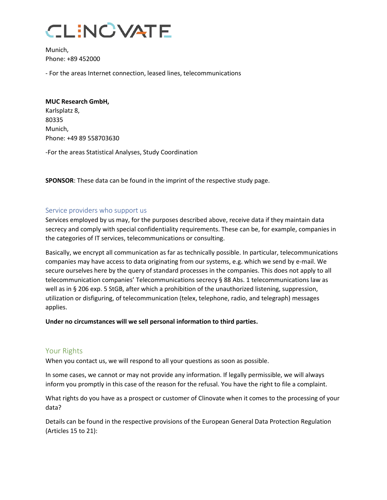Munich, Phone: +89 452000

- For the areas Internet connection, leased lines, telecommunications

### **MUC Research GmbH,**

Karlsplatz 8, 80335 Munich, Phone: +49 89 558703630

-For the areas Statistical Analyses, Study Coordination

**SPONSOR**: These data can be found in the imprint of the respective study page.

### Service providers who support us

Services employed by us may, for the purposes described above, receive data if they maintain data secrecy and comply with special confidentiality requirements. These can be, for example, companies in the categories of IT services, telecommunications or consulting.

Basically, we encrypt all communication as far as technically possible. In particular, telecommunications companies may have access to data originating from our systems, e.g. which we send by e-mail. We secure ourselves here by the query of standard processes in the companies. This does not apply to all telecommunication companies' Telecommunications secrecy § 88 Abs. 1 telecommunications law as well as in § 206 exp. 5 StGB, after which a prohibition of the unauthorized listening, suppression, utilization or disfiguring, of telecommunication (telex, telephone, radio, and telegraph) messages applies.

### **Under no circumstances will we sell personal information to third parties.**

### Your Rights

When you contact us, we will respond to all your questions as soon as possible.

In some cases, we cannot or may not provide any information. If legally permissible, we will always inform you promptly in this case of the reason for the refusal. You have the right to file a complaint.

What rights do you have as a prospect or customer of Clinovate when it comes to the processing of your data?

Details can be found in the respective provisions of the European General Data Protection Regulation (Articles 15 to 21):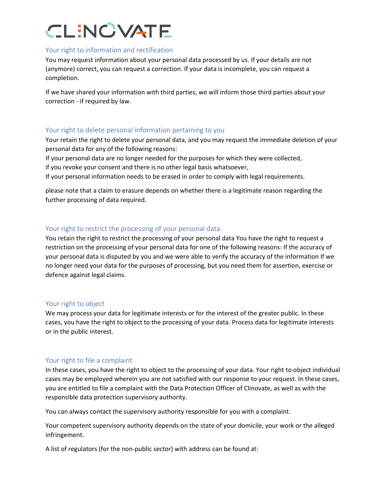### Your right to information and rectification

You may request information about your personal data processed by us. If your details are not (anymore) correct, you can request a correction. If your data is incomplete, you can request a completion.

If we have shared your information with third parties, we will inform those third parties about your correction - if required by law.

### Your right to delete personal information pertaining to you

Your retain the right to delete your personal data, and you may request the immediate deletion of your personal data for any of the following reasons:

If your personal data are no longer needed for the purposes for which they were collected,

if you revoke your consent and there is no other legal basis whatsoever,

If your personal information needs to be erased in order to comply with legal requirements.

please note that a claim to erasure depends on whether there is a legitimate reason regarding the further processing of data required.

### Your right to restrict the processing of your personal data

You retain the right to restrict the processing of your personal data You have the right to request a restriction on the processing of your personal data for one of the following reasons: If the accuracy of your personal data is disputed by you and we were able to verify the accuracy of the information If we no longer need your data for the purposes of processing, but you need them for assertion, exercise or defence against legal claims.

### Your right to object

We may process your data for legitimate interests or for the interest of the greater public. In these cases, you have the right to object to the processing of your data. Process data for legitimate interests or in the public interest.

### Your right to file a complaint

In these cases, you have the right to object to the processing of your data. Your right to object individual cases may be employed wherein you are not satisfied with our response to your request. In these cases, you are entitled to file a complaint with the Data Protection Officer of Clinovate, as well as with the responsible data protection supervisory authority.

You can always contact the supervisory authority responsible for you with a complaint.

Your competent supervisory authority depends on the state of your domicile, your work or the alleged infringement.

A list of regulators (for the non-public sector) with address can be found at: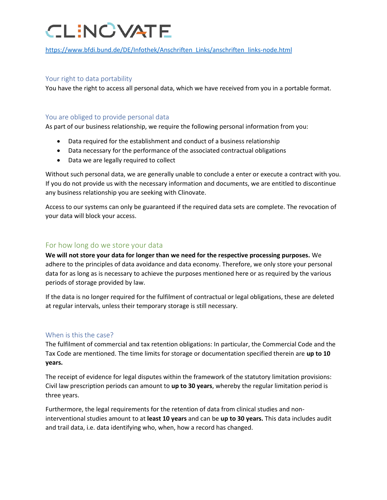[https://www.bfdi.bund.de/DE/Infothek/Anschriften\\_Links/anschriften\\_links-node.html](https://www.bfdi.bund.de/DE/Infothek/Anschriften_Links/anschriften_links-node.html)

### Your right to data portability

You have the right to access all personal data, which we have received from you in a portable format.

### You are obliged to provide personal data

As part of our business relationship, we require the following personal information from you:

- Data required for the establishment and conduct of a business relationship
- Data necessary for the performance of the associated contractual obligations
- Data we are legally required to collect

Without such personal data, we are generally unable to conclude a enter or execute a contract with you. If you do not provide us with the necessary information and documents, we are entitled to discontinue any business relationship you are seeking with Clinovate.

Access to our systems can only be guaranteed if the required data sets are complete. The revocation of your data will block your access.

### For how long do we store your data

**We will not store your data for longer than we need for the respective processing purposes.** We adhere to the principles of data avoidance and data economy. Therefore, we only store your personal data for as long as is necessary to achieve the purposes mentioned here or as required by the various periods of storage provided by law.

If the data is no longer required for the fulfilment of contractual or legal obligations, these are deleted at regular intervals, unless their temporary storage is still necessary.

### When is this the case?

The fulfilment of commercial and tax retention obligations: In particular, the Commercial Code and the Tax Code are mentioned. The time limits for storage or documentation specified therein are **up to 10 years.** 

The receipt of evidence for legal disputes within the framework of the statutory limitation provisions: Civil law prescription periods can amount to **up to 30 years**, whereby the regular limitation period is three years.

Furthermore, the legal requirements for the retention of data from clinical studies and noninterventional studies amount to at **least 10 years** and can be **up to 30 years.** This data includes audit and trail data, i.e. data identifying who, when, how a record has changed.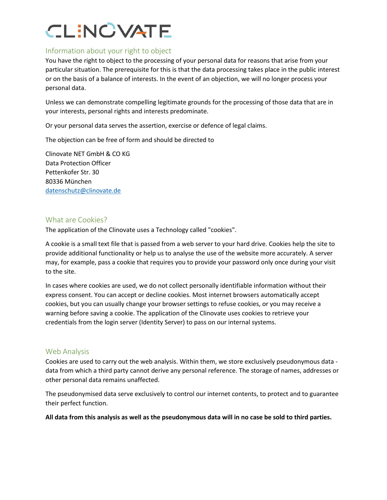### Information about your right to object

You have the right to object to the processing of your personal data for reasons that arise from your particular situation. The prerequisite for this is that the data processing takes place in the public interest or on the basis of a balance of interests. In the event of an objection, we will no longer process your personal data.

Unless we can demonstrate compelling legitimate grounds for the processing of those data that are in your interests, personal rights and interests predominate.

Or your personal data serves the assertion, exercise or defence of legal claims.

The objection can be free of form and should be directed to

Clinovate NET GmbH & CO KG Data Protection Officer Pettenkofer Str. 30 80336 München [datenschutz@clinovate.de](mailto:datenschutz@clinovate.de)

### What are Cookies?

The application of the Clinovate uses a Technology called "cookies".

A cookie is a small text file that is passed from a web server to your hard drive. Cookies help the site to provide additional functionality or help us to analyse the use of the website more accurately. A server may, for example, pass a cookie that requires you to provide your password only once during your visit to the site.

In cases where cookies are used, we do not collect personally identifiable information without their express consent. You can accept or decline cookies. Most internet browsers automatically accept cookies, but you can usually change your browser settings to refuse cookies, or you may receive a warning before saving a cookie. The application of the Clinovate uses cookies to retrieve your credentials from the login server (Identity Server) to pass on our internal systems.

### Web Analysis

Cookies are used to carry out the web analysis. Within them, we store exclusively pseudonymous data data from which a third party cannot derive any personal reference. The storage of names, addresses or other personal data remains unaffected.

The pseudonymised data serve exclusively to control our internet contents, to protect and to guarantee their perfect function.

**All data from this analysis as well as the pseudonymous data will in no case be sold to third parties.**